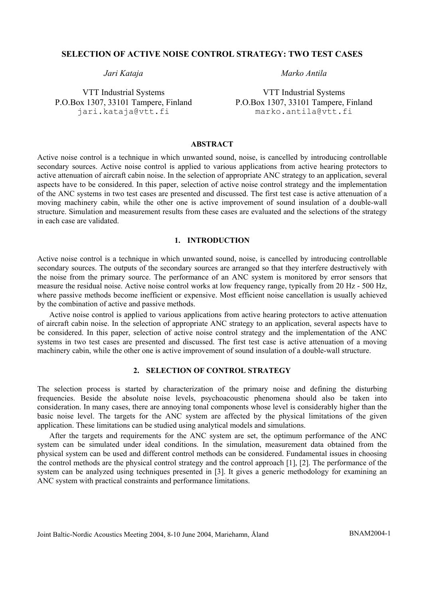### **SELECTION OF ACTIVE NOISE CONTROL STRATEGY: TWO TEST CASES**

VTT Industrial Systems P.O.Box 1307, 33101 Tampere, Finland jari.kataja@vtt.fi

*Jari Kataja Marko Antila* 

VTT Industrial Systems P.O.Box 1307, 33101 Tampere, Finland marko.antila@vtt.fi

## **ABSTRACT**

Active noise control is a technique in which unwanted sound, noise, is cancelled by introducing controllable secondary sources. Active noise control is applied to various applications from active hearing protectors to active attenuation of aircraft cabin noise. In the selection of appropriate ANC strategy to an application, several aspects have to be considered. In this paper, selection of active noise control strategy and the implementation of the ANC systems in two test cases are presented and discussed. The first test case is active attenuation of a moving machinery cabin, while the other one is active improvement of sound insulation of a double-wall structure. Simulation and measurement results from these cases are evaluated and the selections of the strategy in each case are validated.

## **1. INTRODUCTION**

Active noise control is a technique in which unwanted sound, noise, is cancelled by introducing controllable secondary sources. The outputs of the secondary sources are arranged so that they interfere destructively with the noise from the primary source. The performance of an ANC system is monitored by error sensors that measure the residual noise. Active noise control works at low frequency range, typically from 20 Hz - 500 Hz, where passive methods become inefficient or expensive. Most efficient noise cancellation is usually achieved by the combination of active and passive methods.

Active noise control is applied to various applications from active hearing protectors to active attenuation of aircraft cabin noise. In the selection of appropriate ANC strategy to an application, several aspects have to be considered. In this paper, selection of active noise control strategy and the implementation of the ANC systems in two test cases are presented and discussed. The first test case is active attenuation of a moving machinery cabin, while the other one is active improvement of sound insulation of a double-wall structure.

# **2. SELECTION OF CONTROL STRATEGY**

The selection process is started by characterization of the primary noise and defining the disturbing frequencies. Beside the absolute noise levels, psychoacoustic phenomena should also be taken into consideration. In many cases, there are annoying tonal components whose level is considerably higher than the basic noise level. The targets for the ANC system are affected by the physical limitations of the given application. These limitations can be studied using analytical models and simulations.

After the targets and requirements for the ANC system are set, the optimum performance of the ANC system can be simulated under ideal conditions. In the simulation, measurement data obtained from the physical system can be used and different control methods can be considered. Fundamental issues in choosing the control methods are the physical control strategy and the control approach [1], [2]. The performance of the system can be analyzed using techniques presented in [3]. It gives a generic methodology for examining an ANC system with practical constraints and performance limitations.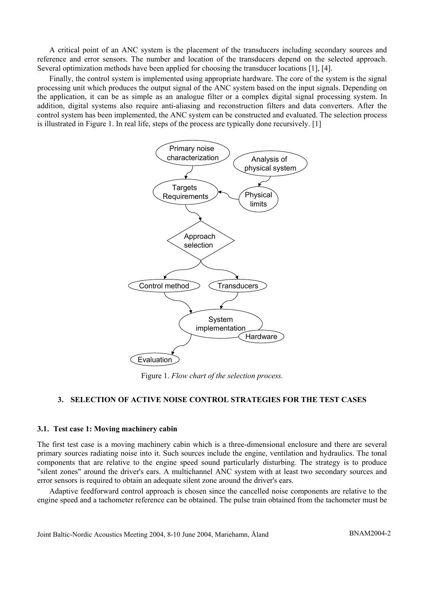A critical point of an ANC system is the placement of the transducers including secondary sources and reference and error sensors. The number and location of the transducers depend on the selected approach. Several optimization methods have been applied for choosing the transducer locations [1], [4].

Finally, the control system is implemented using appropriate hardware. The core of the system is the signal processing unit which produces the output signal of the ANC system based on the input signals. Depending on the application, it can be as simple as an analogue filter or a complex digital signal processing system. In addition, digital systems also require anti-aliasing and reconstruction filters and data converters. After the control system has been implemented, the ANC system can be constructed and evaluated. The selection process is illustrated in Figure 1. In real life, steps of the process are typically done recursively. [1]



Figure 1. *Flow chart of the selection process.* 

## **3. SELECTION OF ACTIVE NOISE CONTROL STRATEGIES FOR THE TEST CASES**

#### **3.1. Test case 1: Moving machinery cabin**

The first test case is a moving machinery cabin which is a three-dimensional enclosure and there are several primary sources radiating noise into it. Such sources include the engine, ventilation and hydraulics. The tonal components that are relative to the engine speed sound particularly disturbing. The strategy is to produce "silent zones" around the driver's ears. A multichannel ANC system with at least two secondary sources and error sensors is required to obtain an adequate silent zone around the driver's ears.

Adaptive feedforward control approach is chosen since the cancelled noise components are relative to the engine speed and a tachometer reference can be obtained. The pulse train obtained from the tachometer must be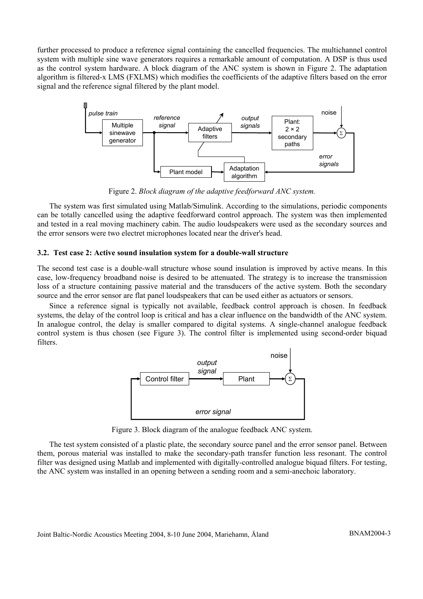further processed to produce a reference signal containing the cancelled frequencies. The multichannel control system with multiple sine wave generators requires a remarkable amount of computation. A DSP is thus used as the control system hardware. A block diagram of the ANC system is shown in Figure 2. The adaptation algorithm is filtered-x LMS (FXLMS) which modifies the coefficients of the adaptive filters based on the error signal and the reference signal filtered by the plant model.



Figure 2. *Block diagram of the adaptive feedforward ANC system.* 

The system was first simulated using Matlab/Simulink. According to the simulations, periodic components can be totally cancelled using the adaptive feedforward control approach. The system was then implemented and tested in a real moving machinery cabin. The audio loudspeakers were used as the secondary sources and the error sensors were two electret microphones located near the driver's head.

## **3.2. Test case 2: Active sound insulation system for a double-wall structure**

The second test case is a double-wall structure whose sound insulation is improved by active means. In this case, low-frequency broadband noise is desired to be attenuated. The strategy is to increase the transmission loss of a structure containing passive material and the transducers of the active system. Both the secondary source and the error sensor are flat panel loudspeakers that can be used either as actuators or sensors.

Since a reference signal is typically not available, feedback control approach is chosen. In feedback systems, the delay of the control loop is critical and has a clear influence on the bandwidth of the ANC system. In analogue control, the delay is smaller compared to digital systems. A single-channel analogue feedback control system is thus chosen (see Figure 3). The control filter is implemented using second-order biquad filters.



Figure 3. Block diagram of the analogue feedback ANC system.

The test system consisted of a plastic plate, the secondary source panel and the error sensor panel. Between them, porous material was installed to make the secondary-path transfer function less resonant. The control filter was designed using Matlab and implemented with digitally-controlled analogue biquad filters. For testing, the ANC system was installed in an opening between a sending room and a semi-anechoic laboratory.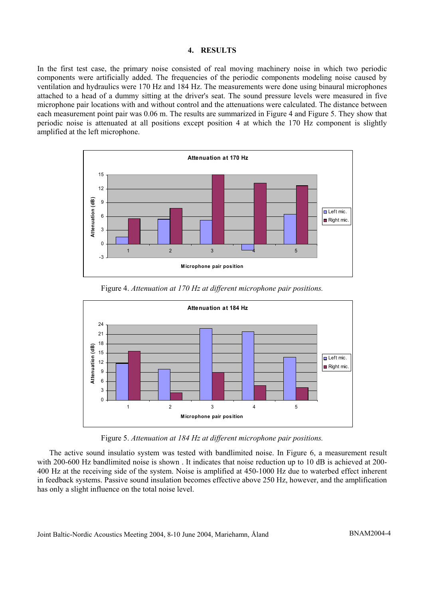## **4. RESULTS**

In the first test case, the primary noise consisted of real moving machinery noise in which two periodic components were artificially added. The frequencies of the periodic components modeling noise caused by ventilation and hydraulics were 170 Hz and 184 Hz. The measurements were done using binaural microphones attached to a head of a dummy sitting at the driver's seat. The sound pressure levels were measured in five microphone pair locations with and without control and the attenuations were calculated. The distance between each measurement point pair was 0.06 m. The results are summarized in Figure 4 and Figure 5. They show that periodic noise is attenuated at all positions except position 4 at which the 170 Hz component is slightly amplified at the left microphone.



Figure 4. *Attenuation at 170 Hz at different microphone pair positions.* 



Figure 5. *Attenuation at 184 Hz at different microphone pair positions.*

The active sound insulatio system was tested with bandlimited noise. In Figure 6, a measurement result with 200-600 Hz bandlimited noise is shown. It indicates that noise reduction up to 10 dB is achieved at 200-400 Hz at the receiving side of the system. Noise is amplified at 450-1000 Hz due to waterbed effect inherent in feedback systems. Passive sound insulation becomes effective above 250 Hz, however, and the amplification has only a slight influence on the total noise level.